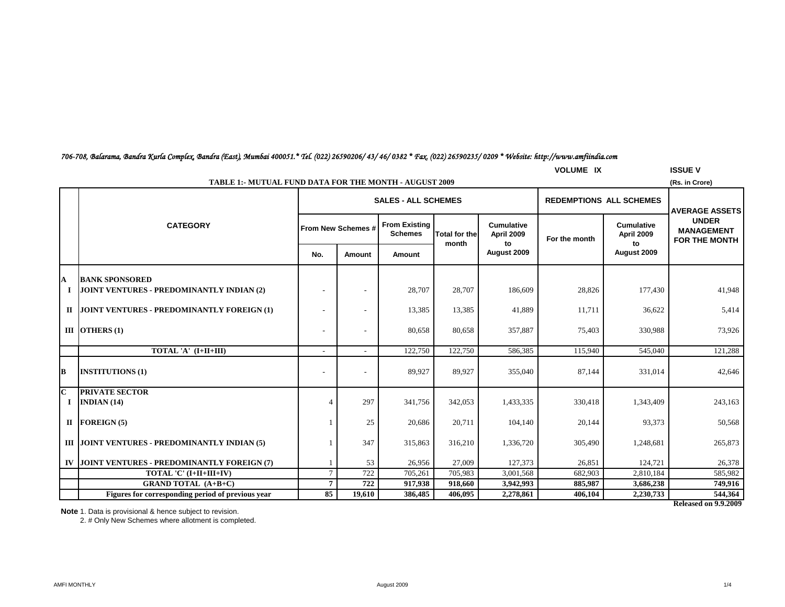### *706-708, Balarama, Bandra Kurla Complex, Bandra (East), Mumbai 400051.\* Tel. (022) 26590206/ 43/ 46/ 0382 \* Fax. (022) 26590235/ 0209 \* Website: http://www.amfiindia.com*

| <b>VOLUME IX</b><br><b>ISSUE V</b>                                              |                                           |        |                                        |                      |                                               |               |                                 |                                                           |  |  |
|---------------------------------------------------------------------------------|-------------------------------------------|--------|----------------------------------------|----------------------|-----------------------------------------------|---------------|---------------------------------|-----------------------------------------------------------|--|--|
| <b>TABLE 1:- MUTUAL FUND DATA FOR THE MONTH - AUGUST 2009</b><br>(Rs. in Crore) |                                           |        |                                        |                      |                                               |               |                                 |                                                           |  |  |
|                                                                                 |                                           |        |                                        |                      |                                               |               | <b>AVERAGE ASSETS</b>           |                                                           |  |  |
| <b>CATEGORY</b>                                                                 |                                           |        | <b>From Existing</b><br><b>Schemes</b> | <b>Total for the</b> | <b>Cumulative</b><br>April 2009               | For the month | <b>Cumulative</b><br>April 2009 | <b>UNDER</b><br><b>MANAGEMENT</b><br><b>FOR THE MONTH</b> |  |  |
|                                                                                 | No.                                       | Amount | Amount                                 |                      | August 2009                                   |               | August 2009                     |                                                           |  |  |
| <b>BANK SPONSORED</b>                                                           |                                           |        |                                        |                      |                                               |               |                                 | 41,948                                                    |  |  |
|                                                                                 |                                           |        |                                        |                      |                                               |               |                                 |                                                           |  |  |
| JOINT VENTURES - PREDOMINANTLY FOREIGN (1)                                      |                                           |        | 13,385                                 | 13,385               | 41,889                                        | 11,711        | 36,622                          | 5,414                                                     |  |  |
| III OTHERS $(1)$                                                                |                                           |        | 80,658                                 | 80,658               | 357,887                                       | 75,403        | 330,988                         | 73,926                                                    |  |  |
| TOTAL 'A' (I+II+III)                                                            | $\overline{a}$                            |        | 122,750                                | 122,750              | 586,385                                       | 115,940       | 545,040                         | 121,288                                                   |  |  |
| <b>INSTITUTIONS (1)</b>                                                         |                                           |        | 89,927                                 | 89,927               | 355,040                                       | 87,144        | 331,014                         | 42,646                                                    |  |  |
| <b>PRIVATE SECTOR</b><br>INDIAN $(14)$                                          | 4                                         | 297    | 341,756                                | 342,053              | 1,433,335                                     | 330,418       | 1,343,409                       | 243,163                                                   |  |  |
| $II$ FOREIGN (5)                                                                |                                           | 25     | 20,686                                 | 20,711               | 104,140                                       | 20,144        | 93,373                          | 50,568                                                    |  |  |
| III JOINT VENTURES - PREDOMINANTLY INDIAN (5)                                   |                                           | 347    | 315,863                                | 316,210              | 1,336,720                                     | 305,490       | 1,248,681                       | 265,873                                                   |  |  |
| JOINT VENTURES - PREDOMINANTLY FOREIGN (7)                                      |                                           | 53     | 26,956                                 | 27,009               | 127,373                                       | 26,851        | 124,721                         | 26,378                                                    |  |  |
| TOTAL 'C' (I+II+III+IV)                                                         | $7\phantom{.0}$                           | 722    | 705,261                                | 705,983              | 3,001,568                                     | 682,903       | 2,810,184                       | 585,982                                                   |  |  |
| <b>GRAND TOTAL (A+B+C)</b>                                                      | $7\phantom{.0}$                           | 722    | 917,938                                | 918,660              | 3,942,993                                     | 885,987       | 3,686,238                       | 749,916                                                   |  |  |
| Figures for corresponding period of previous year                               | 85                                        | 19,610 | 386,485                                | 406,095              | 2,278,861                                     | 406,104       | 2,230,733                       | 544,364                                                   |  |  |
|                                                                                 | JOINT VENTURES - PREDOMINANTLY INDIAN (2) |        | From New Schemes #                     | 28,707               | <b>SALES - ALL SCHEMES</b><br>month<br>28,707 | to<br>186,609 | 28,826                          | <b>REDEMPTIONS ALL SCHEMES</b><br>to<br>177,430           |  |  |

**Released on 9.9.2009**

**Note** 1. Data is provisional & hence subject to revision.

2. # Only New Schemes where allotment is completed.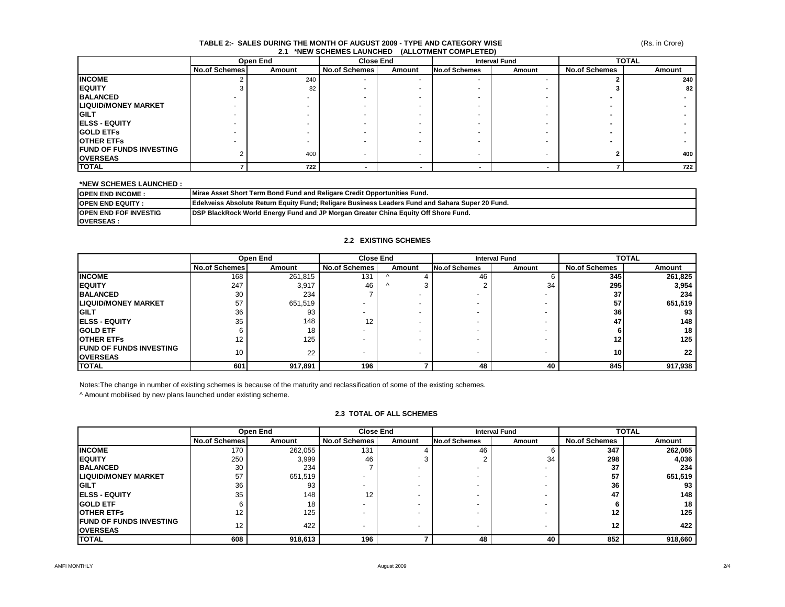### **TABLE 2:- SALES DURING THE MONTH OF AUGUST 2009 - TYPE AND CATEGORY WISE 2.1 \*NEW SCHEMES LAUNCHED (ALLOTMENT COMPLETED)**

|                                                    |                      | Open End | <b>Close End</b>     |        | <b>Interval Fund</b>     |        | <b>TOTAL</b>         |        |
|----------------------------------------------------|----------------------|----------|----------------------|--------|--------------------------|--------|----------------------|--------|
|                                                    | <b>No.of Schemes</b> | Amount   | <b>No.of Schemes</b> | Amount | <b>No.of Schemes</b>     | Amount | <b>No.of Schemes</b> | Amount |
| <b>INCOME</b>                                      |                      | 240      |                      |        | $\overline{\phantom{a}}$ |        |                      | 240    |
| <b>IEQUITY</b>                                     |                      | 82       |                      |        |                          |        |                      | 82     |
| <b>BALANCED</b>                                    |                      |          |                      |        |                          |        |                      |        |
| <b>LIQUID/MONEY MARKET</b>                         |                      |          |                      |        |                          |        |                      |        |
| <b>IGILT</b>                                       | ۰                    |          |                      |        |                          |        |                      |        |
| <b>IELSS - EQUITY</b>                              | ۰                    |          |                      |        |                          |        |                      |        |
| <b>GOLD ETFS</b>                                   |                      |          |                      |        |                          |        |                      |        |
| <b>OTHER ETFS</b>                                  | ۰                    |          |                      |        |                          |        |                      |        |
| <b>IFUND OF FUNDS INVESTING</b><br><b>OVERSEAS</b> |                      | 400      |                      |        |                          |        |                      | 400    |
| <b>TOTAL</b>                                       |                      | 722      |                      |        |                          |        |                      | 722    |

### **\*NEW SCHEMES LAUNCHED :**

| <b>IOPEN END INCOME:</b>     | Mirae Asset Short Term Bond Fund and Religare Credit Opportunities Fund.                                |
|------------------------------|---------------------------------------------------------------------------------------------------------|
| <b>IOPEN END EQUITY</b>      | <b>IEdelweiss Absolute Return Equity Fund: Religare Business Leaders Fund and Sahara Super 20 Fund.</b> |
| <b>OPEN END FOF INVESTIG</b> | <b>IDSP BlackRock World Energy Fund and JP Morgan Greater China Equity Off Shore Fund.</b>              |
| <b>IOVERSEAS:</b>            |                                                                                                         |

### **2.2 EXISTING SCHEMES**

|                                 | Open End             |         | <b>Close End</b>     |            | <b>Interval Fund</b> |        | <b>TOTAL</b>         |         |
|---------------------------------|----------------------|---------|----------------------|------------|----------------------|--------|----------------------|---------|
|                                 | <b>No.of Schemes</b> | Amount  | <b>No.of Schemes</b> | Amount     | <b>No.of Schemes</b> | Amount | <b>No.of Schemes</b> | Amount  |
| <b>INCOME</b>                   | 168                  | 261,815 | 131                  |            | 46                   |        | 345                  | 261,825 |
| <b>EQUITY</b>                   | 247                  | 3,917   | 46                   | $\sqrt{ }$ |                      | 34     | 295                  | 3,954   |
| <b>BALANCED</b>                 | 30                   | 234     |                      |            |                      |        | 37                   | 234     |
| <b>LIQUID/MONEY MARKET</b>      | 57                   | 651,519 |                      |            |                      |        | 57                   | 651,519 |
| <b>IGILT</b>                    | 36                   | 93      |                      |            |                      |        | 36                   | 93      |
| <b>IELSS - EQUITY</b>           | 35                   | 148     | 12                   |            |                      |        | 47                   | 148     |
| <b>IGOLD ETF</b>                |                      | 18      |                      |            |                      |        |                      | 18      |
| <b>OTHER ETFS</b>               | 12                   | 125     |                      |            |                      |        | 12                   | 125     |
| <b>IFUND OF FUNDS INVESTING</b> | 10 <sup>°</sup>      | 22      |                      |            |                      |        | 10 <sub>1</sub>      | 22      |
| <b>OVERSEAS</b>                 |                      |         |                      |            |                      |        |                      |         |
| <b>TOTAL</b>                    | 601                  | 917,891 | 196                  |            | 48                   | 40     | 845                  | 917,938 |

Notes:The change in number of existing schemes is because of the maturity and reclassification of some of the existing schemes.

^ Amount mobilised by new plans launched under existing scheme.

### **2.3 TOTAL OF ALL SCHEMES**

|                                 |                      | Open End | <b>Close End</b>     |        |                      | <b>Interval Fund</b> | <b>TOTAL</b>         |         |
|---------------------------------|----------------------|----------|----------------------|--------|----------------------|----------------------|----------------------|---------|
|                                 | <b>No.of Schemes</b> | Amount   | <b>No.of Schemes</b> | Amount | <b>No.of Schemes</b> | Amount               | <b>No.of Schemes</b> | Amount  |
| <b>INCOME</b>                   | 170                  | 262,055  | 131                  |        | 46                   |                      | 347                  | 262,065 |
| <b>IEQUITY</b>                  | 250                  | 3,999    | 46                   |        |                      | 34                   | 298                  | 4,036   |
| <b>BALANCED</b>                 | 30                   | 234      |                      |        |                      |                      | 37                   | 234     |
| <b>ILIQUID/MONEY MARKET</b>     | 57                   | 651,519  |                      |        |                      |                      | 57                   | 651,519 |
| <b>IGILT</b>                    | 36                   | 93       |                      |        |                      |                      | 36                   | 93      |
| <b>IELSS - EQUITY</b>           | 35                   | 148      | 12                   |        |                      |                      | 47                   | 148     |
| <b>IGOLD ETF</b>                |                      | 18       |                      |        |                      |                      |                      | 18      |
| <b>OTHER ETFS</b>               | 12                   | 125      |                      |        |                      |                      | 12                   | 125     |
| <b>IFUND OF FUNDS INVESTING</b> | 12                   | 422      |                      |        |                      |                      | 12                   | 422     |
| <b>OVERSEAS</b>                 |                      |          |                      |        |                      |                      |                      |         |
| <b>TOTAL</b>                    | 608                  | 918,613  | 196                  |        | 48                   | 40                   | 852                  | 918,660 |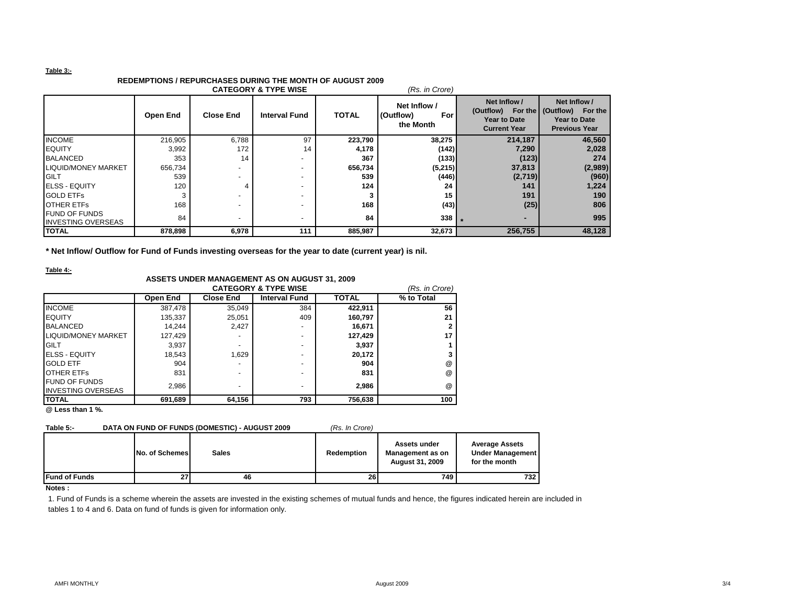### **Table 3:-**

## **REDEMPTIONS / REPURCHASES DURING THE MONTH OF AUGUST 2009**

| <b>CATEGORY &amp; TYPE WISE</b><br>(Rs. in Crore) |          |                  |                          |              |                                               |                                                            |                                                                                                    |  |  |  |
|---------------------------------------------------|----------|------------------|--------------------------|--------------|-----------------------------------------------|------------------------------------------------------------|----------------------------------------------------------------------------------------------------|--|--|--|
|                                                   | Open End | <b>Close End</b> | <b>Interval Fund</b>     | <b>TOTAL</b> | Net Inflow /<br>(Outflow)<br>For<br>the Month | Net Inflow /<br><b>Year to Date</b><br><b>Current Year</b> | Net Inflow /<br>(Outflow) For the (Outflow) For the<br><b>Year to Date</b><br><b>Previous Year</b> |  |  |  |
| <b>INCOME</b>                                     | 216,905  | 6.788            | 97                       | 223,790      | 38,275                                        | 214,187                                                    | 46,560                                                                                             |  |  |  |
| <b>IEQUITY</b>                                    | 3,992    | 172              | 14                       | 4,178        | (142)                                         | 7,290                                                      | 2,028                                                                                              |  |  |  |
| <b>BALANCED</b>                                   | 353      | 14               | $\overline{\phantom{a}}$ | 367          | (133)                                         | (123)                                                      | 274                                                                                                |  |  |  |
| <b>LIQUID/MONEY MARKET</b>                        | 656,734  |                  |                          | 656,734      | (5,215)                                       | 37,813                                                     | (2,989)                                                                                            |  |  |  |
| <b>IGILT</b>                                      | 539      |                  | $\overline{\phantom{a}}$ | 539          | (446)                                         | (2,719)                                                    | (960)                                                                                              |  |  |  |
| <b>IELSS - EQUITY</b>                             | 120      | 4                | $\overline{\phantom{a}}$ | 124          | 24                                            | 141                                                        | 1,224                                                                                              |  |  |  |
| <b>GOLD ETFS</b>                                  |          | -                | $\overline{\phantom{0}}$ |              | 15                                            | 191                                                        | 190                                                                                                |  |  |  |
| <b>OTHER ETFS</b>                                 | 168      | ۰                | $\overline{\phantom{a}}$ | 168          | (43)                                          | (25)                                                       | 806                                                                                                |  |  |  |
| <b>FUND OF FUNDS</b><br><b>INVESTING OVERSEAS</b> | 84       |                  |                          | 84           | 338                                           |                                                            | 995                                                                                                |  |  |  |
| <b>TOTAL</b>                                      | 878,898  | 6,978            | 111                      | 885,987      | 32,673                                        | 256,755                                                    | 48,128                                                                                             |  |  |  |

**\* Net Inflow/ Outflow for Fund of Funds investing overseas for the year to date (current year) is nil.**

**Table 4:-**

# **ASSETS UNDER MANAGEMENT AS ON AUGUST 31, 2009**

|                           |          |                  | <b>CATEGORY &amp; TYPE WISE</b> |              | (Rs. in Crore) |
|---------------------------|----------|------------------|---------------------------------|--------------|----------------|
|                           | Open End | <b>Close End</b> | <b>Interval Fund</b>            | <b>TOTAL</b> | % to Total     |
| <b>INCOME</b>             | 387,478  | 35,049           | 384                             | 422,911      | 56             |
| <b>EQUITY</b>             | 135,337  | 25,051           | 409                             | 160,797      | 21             |
| <b>BALANCED</b>           | 14.244   | 2.427            |                                 | 16,671       |                |
| LIQUID/MONEY MARKET       | 127,429  |                  |                                 | 127.429      | 17             |
| <b>GILT</b>               | 3,937    |                  |                                 | 3,937        |                |
| <b>ELSS - EQUITY</b>      | 18,543   | 1.629            |                                 | 20,172       |                |
| <b>GOLD ETF</b>           | 904      | -                |                                 | 904          | @              |
| <b>OTHER ETFS</b>         | 831      | -                |                                 | 831          | @              |
| <b>FUND OF FUNDS</b>      | 2,986    | ۰                |                                 | 2,986        | @              |
| <b>INVESTING OVERSEAS</b> |          |                  |                                 |              |                |
| <b>TOTAL</b>              | 691,689  | 64,156           | 793                             | 756,638      | 100            |

**@ Less than 1 %.**

### **Table 5:- DATA ON FUND OF FUNDS (DOMESTIC) - AUGUST 2009** *(Rs. In Crore)*

|  |  | (Rs. In Cro |  |  |
|--|--|-------------|--|--|
|--|--|-------------|--|--|

|                       | No. of Schemes | <b>Sales</b> | Redemption | Assets under<br>Management as on<br><b>August 31, 2009</b> | <b>Average Assets</b><br><b>Under Management</b><br>for the month |
|-----------------------|----------------|--------------|------------|------------------------------------------------------------|-------------------------------------------------------------------|
| <b>IFund of Funds</b> | 27             | 46           | 26         | 749                                                        | 732                                                               |

#### **Notes :**

1. Fund of Funds is a scheme wherein the assets are invested in the existing schemes of mutual funds and hence, the figures indicated herein are included in tables 1 to 4 and 6. Data on fund of funds is given for information only.